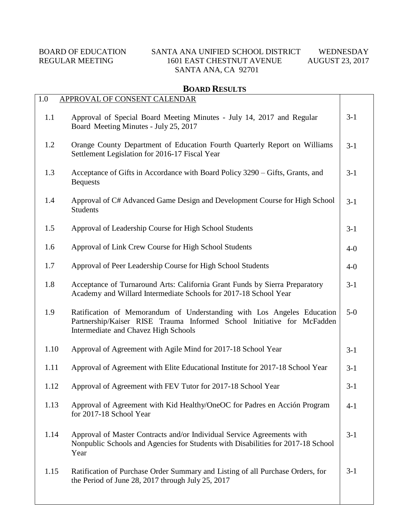## BOARD OF EDUCATION SANTA ANA UNIFIED SCHOOL DISTRICT WEDNESDAY<br>REGULAR MEETING 1601 EAST CHESTNUT AVENUE AUGUST 23, 2017 1601 EAST CHESTNUT AVENUE AUGUST 23, 2017 SANTA ANA, CA 92701

## **BOARD RESULTS**

| 1.0  | APPROVAL OF CONSENT CALENDAR                                                                                                                                                             |         |
|------|------------------------------------------------------------------------------------------------------------------------------------------------------------------------------------------|---------|
| 1.1  | Approval of Special Board Meeting Minutes - July 14, 2017 and Regular<br>Board Meeting Minutes - July 25, 2017                                                                           | $3-1$   |
| 1.2  | Orange County Department of Education Fourth Quarterly Report on Williams<br>Settlement Legislation for 2016-17 Fiscal Year                                                              | $3-1$   |
| 1.3  | Acceptance of Gifts in Accordance with Board Policy 3290 – Gifts, Grants, and<br><b>Bequests</b>                                                                                         | $3-1$   |
| 1.4  | Approval of C# Advanced Game Design and Development Course for High School<br><b>Students</b>                                                                                            | $3-1$   |
| 1.5  | Approval of Leadership Course for High School Students                                                                                                                                   | $3-1$   |
| 1.6  | Approval of Link Crew Course for High School Students                                                                                                                                    | $4 - 0$ |
| 1.7  | Approval of Peer Leadership Course for High School Students                                                                                                                              | $4-0$   |
| 1.8  | Acceptance of Turnaround Arts: California Grant Funds by Sierra Preparatory<br>Academy and Willard Intermediate Schools for 2017-18 School Year                                          | $3-1$   |
| 1.9  | Ratification of Memorandum of Understanding with Los Angeles Education<br>Partnership/Kaiser RISE Trauma Informed School Initiative for McFadden<br>Intermediate and Chavez High Schools | $5-0$   |
| 1.10 | Approval of Agreement with Agile Mind for 2017-18 School Year                                                                                                                            | $3-1$   |
| 1.11 | Approval of Agreement with Elite Educational Institute for 2017-18 School Year                                                                                                           | $3-1$   |
| 1.12 | Approval of Agreement with FEV Tutor for 2017-18 School Year                                                                                                                             | $3 - 1$ |
| 1.13 | Approval of Agreement with Kid Healthy/OneOC for Padres en Acción Program<br>for 2017-18 School Year                                                                                     | $4 - 1$ |
| 1.14 | Approval of Master Contracts and/or Individual Service Agreements with<br>Nonpublic Schools and Agencies for Students with Disabilities for 2017-18 School<br>Year                       | $3-1$   |
| 1.15 | Ratification of Purchase Order Summary and Listing of all Purchase Orders, for<br>the Period of June 28, 2017 through July 25, 2017                                                      | $3-1$   |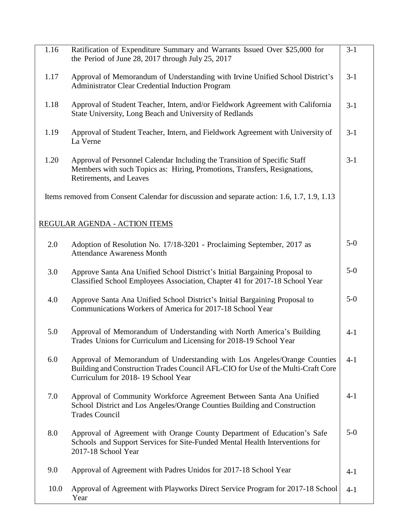| 1.16 | Ratification of Expenditure Summary and Warrants Issued Over \$25,000 for<br>the Period of June 28, 2017 through July 25, 2017                                                                     | $3-1$   |
|------|----------------------------------------------------------------------------------------------------------------------------------------------------------------------------------------------------|---------|
| 1.17 | Approval of Memorandum of Understanding with Irvine Unified School District's<br>Administrator Clear Credential Induction Program                                                                  | $3-1$   |
| 1.18 | Approval of Student Teacher, Intern, and/or Fieldwork Agreement with California<br>State University, Long Beach and University of Redlands                                                         | $3-1$   |
| 1.19 | Approval of Student Teacher, Intern, and Fieldwork Agreement with University of<br>La Verne                                                                                                        | $3-1$   |
| 1.20 | Approval of Personnel Calendar Including the Transition of Specific Staff<br>Members with such Topics as: Hiring, Promotions, Transfers, Resignations,<br>Retirements, and Leaves                  | $3-1$   |
|      | Items removed from Consent Calendar for discussion and separate action: 1.6, 1.7, 1.9, 1.13                                                                                                        |         |
|      | REGULAR AGENDA - ACTION ITEMS                                                                                                                                                                      |         |
| 2.0  | Adoption of Resolution No. 17/18-3201 - Proclaiming September, 2017 as<br><b>Attendance Awareness Month</b>                                                                                        | $5-0$   |
| 3.0  | Approve Santa Ana Unified School District's Initial Bargaining Proposal to<br>Classified School Employees Association, Chapter 41 for 2017-18 School Year                                          | $5-0$   |
| 4.0  | Approve Santa Ana Unified School District's Initial Bargaining Proposal to<br>Communications Workers of America for 2017-18 School Year                                                            | $5-0$   |
| 5.0  | Approval of Memorandum of Understanding with North America's Building<br>Trades Unions for Curriculum and Licensing for 2018-19 School Year                                                        | $4 - 1$ |
| 6.0  | Approval of Memorandum of Understanding with Los Angeles/Orange Counties<br>Building and Construction Trades Council AFL-CIO for Use of the Multi-Craft Core<br>Curriculum for 2018-19 School Year | $4 - 1$ |
| 7.0  | Approval of Community Workforce Agreement Between Santa Ana Unified<br>School District and Los Angeles/Orange Counties Building and Construction<br><b>Trades Council</b>                          | $4 - 1$ |
| 8.0  | Approval of Agreement with Orange County Department of Education's Safe<br>Schools and Support Services for Site-Funded Mental Health Interventions for<br>2017-18 School Year                     | $5-0$   |
| 9.0  | Approval of Agreement with Padres Unidos for 2017-18 School Year                                                                                                                                   | $4-1$   |
| 10.0 | Approval of Agreement with Playworks Direct Service Program for 2017-18 School<br>Year                                                                                                             | $4 - 1$ |